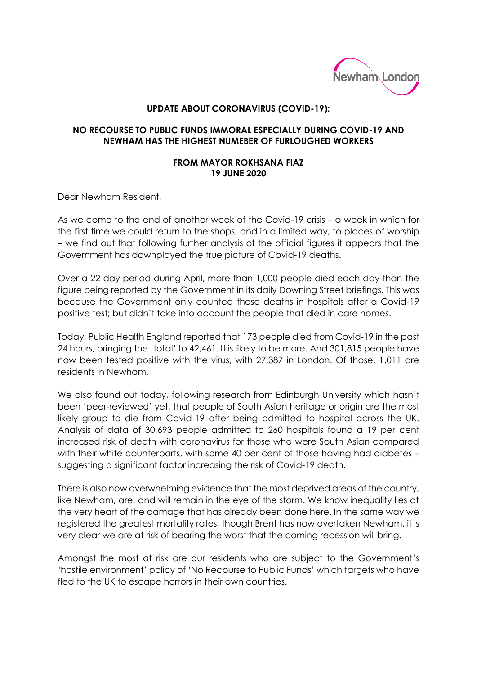

## **UPDATE ABOUT CORONAVIRUS (COVID-19):**

## **NO RECOURSE TO PUBLIC FUNDS IMMORAL ESPECIALLY DURING COVID-19 AND NEWHAM HAS THE HIGHEST NUMEBER OF FURLOUGHED WORKERS**

## **FROM MAYOR ROKHSANA FIAZ 19 JUNE 2020**

Dear Newham Resident,

As we come to the end of another week of the Covid-19 crisis – a week in which for the first time we could return to the shops, and in a limited way, to places of worship – we find out that following further analysis of the official figures it appears that the Government has downplayed the true picture of Covid-19 deaths.

Over a 22-day period during April, more than 1,000 people died each day than the figure being reported by the Government in its daily Downing Street briefings. This was because the Government only counted those deaths in hospitals after a Covid-19 positive test; but didn't take into account the people that died in care homes.

Today, Public Health England reported that 173 people died from Covid-19 in the past 24 hours, bringing the 'total' to 42,461. It is likely to be more. And 301,815 people have now been tested positive with the virus, with 27,387 in London. Of those, 1,011 are residents in Newham.

We also found out today, following research from Edinburgh University which hasn't been 'peer-reviewed' yet, that people of South Asian heritage or origin are the most likely group to die from Covid-19 after being admitted to hospital across the UK. Analysis of data of 30,693 people admitted to 260 hospitals found a 19 per cent increased risk of death with coronavirus for those who were South Asian compared with their white counterparts, with some 40 per cent of those having had diabetes – suggesting a significant factor increasing the risk of Covid-19 death.

There is also now overwhelming evidence that the most deprived areas of the country, like Newham, are, and will remain in the eye of the storm. We know inequality lies at the very heart of the damage that has already been done here. In the same way we registered the greatest mortality rates, though Brent has now overtaken Newham, it is very clear we are at risk of bearing the worst that the coming recession will bring.

Amongst the most at risk are our residents who are subject to the Government's 'hostile environment' policy of 'No Recourse to Public Funds' which targets who have fled to the UK to escape horrors in their own countries.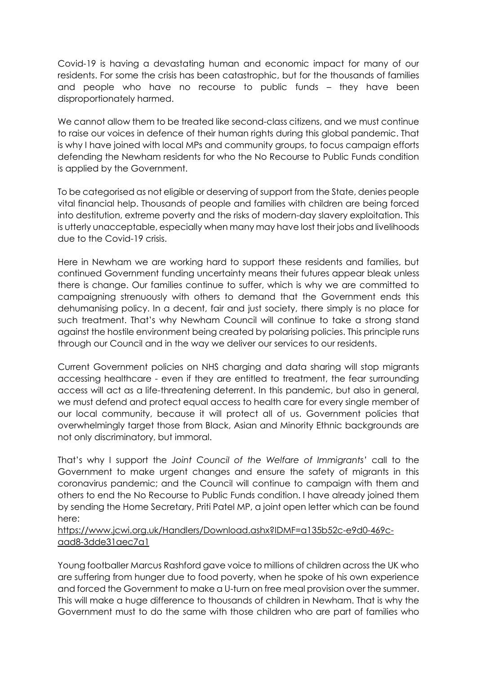Covid-19 is having a devastating human and economic impact for many of our residents. For some the crisis has been catastrophic, but for the thousands of families and people who have no recourse to public funds – they have been disproportionately harmed.

We cannot allow them to be treated like second-class citizens, and we must continue to raise our voices in defence of their human rights during this global pandemic. That is why I have joined with local MPs and community groups, to focus campaign efforts defending the Newham residents for who the No Recourse to Public Funds condition is applied by the Government.

To be categorised as not eligible or deserving of support from the State, denies people vital financial help. Thousands of people and families with children are being forced into destitution, extreme poverty and the risks of modern-day slavery exploitation. This is utterly unacceptable, especially when many may have lost their jobs and livelihoods due to the Covid-19 crisis.

Here in Newham we are working hard to support these residents and families, but continued Government funding uncertainty means their futures appear bleak unless there is change. Our families continue to suffer, which is why we are committed to campaigning strenuously with others to demand that the Government ends this dehumanising policy. In a decent, fair and just society, there simply is no place for such treatment. That's why Newham Council will continue to take a strong stand against the hostile environment being created by polarising policies. This principle runs through our Council and in the way we deliver our services to our residents.

Current Government policies on NHS charging and data sharing will stop migrants accessing healthcare - even if they are entitled to treatment, the fear surrounding access will act as a life-threatening deterrent. In this pandemic, but also in general, we must defend and protect equal access to health care for every single member of our local community, because it will protect all of us. Government policies that overwhelmingly target those from Black, Asian and Minority Ethnic backgrounds are not only discriminatory, but immoral.

That's why I support the *Joint Council of the Welfare of Immigrants'* call to the Government to make urgent changes and ensure the safety of migrants in this coronavirus pandemic; and the Council will continue to campaign with them and others to end the No Recourse to Public Funds condition. I have already joined them by sending the Home Secretary, Priti Patel MP, a joint open letter which can be found here:

## [https://www.jcwi.org.uk/Handlers/Download.ashx?IDMF=a135b52c-e9d0-469c](https://www.jcwi.org.uk/Handlers/Download.ashx?IDMF=a135b52c-e9d0-469c-aad8-3dde31aec7a1)[aad8-3dde31aec7a1](https://www.jcwi.org.uk/Handlers/Download.ashx?IDMF=a135b52c-e9d0-469c-aad8-3dde31aec7a1)

Young footballer Marcus Rashford gave voice to millions of children across the UK who are suffering from hunger due to food poverty, when he spoke of his own experience and forced the Government to make a U-turn on free meal provision over the summer. This will make a huge difference to thousands of children in Newham. That is why the Government must to do the same with those children who are part of families who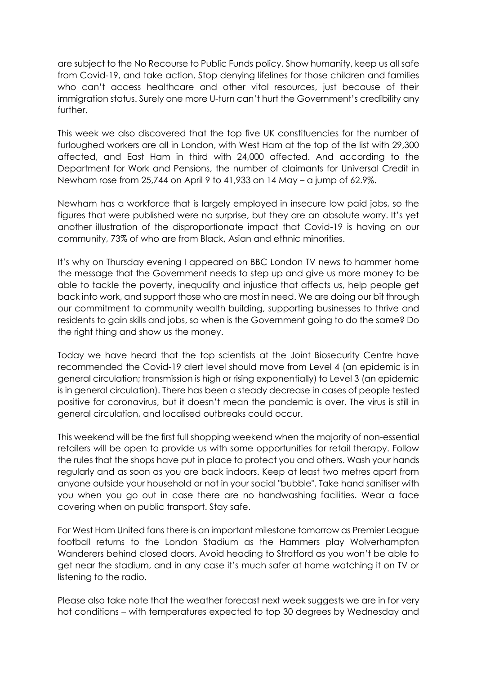are subject to the No Recourse to Public Funds policy. Show humanity, keep us all safe from Covid-19, and take action. Stop denying lifelines for those children and families who can't access healthcare and other vital resources, just because of their immigration status. Surely one more U-turn can't hurt the Government's credibility any further.

This week we also discovered that the top five UK constituencies for the number of furloughed workers are all in London, with West Ham at the top of the list with 29,300 affected, and East Ham in third with 24,000 affected. And according to the Department for Work and Pensions, the number of claimants for Universal Credit in Newham rose from 25,744 on April 9 to 41,933 on 14 May – a jump of 62.9%.

Newham has a workforce that is largely employed in insecure low paid jobs, so the figures that were published were no surprise, but they are an absolute worry. It's yet another illustration of the disproportionate impact that Covid-19 is having on our community, 73% of who are from Black, Asian and ethnic minorities.

It's why on Thursday evening I appeared on BBC London TV news to hammer home the message that the Government needs to step up and give us more money to be able to tackle the poverty, inequality and injustice that affects us, help people get back into work, and support those who are most in need. We are doing our bit through our commitment to community wealth building, supporting businesses to thrive and residents to gain skills and jobs, so when is the Government going to do the same? Do the right thing and show us the money.

Today we have heard that the top scientists at the Joint Biosecurity Centre have recommended the Covid-19 alert level should move from Level 4 (an epidemic is in general circulation; transmission is high or rising exponentially) to Level 3 (an epidemic is in general circulation). There has been a steady decrease in cases of people tested positive for coronavirus, but it doesn't mean the pandemic is over. The virus is still in general circulation, and localised outbreaks could occur.

This weekend will be the first full shopping weekend when the majority of non-essential retailers will be open to provide us with some opportunities for retail therapy. Follow the rules that the shops have put in place to protect you and others. Wash your hands regularly and as soon as you are back indoors. Keep at least two metres apart from anyone outside your household or not in your social "bubble". Take hand sanitiser with you when you go out in case there are no handwashing facilities. Wear a face covering when on public transport. Stay safe.

For West Ham United fans there is an important milestone tomorrow as Premier League football returns to the London Stadium as the Hammers play Wolverhampton Wanderers behind closed doors. Avoid heading to Stratford as you won't be able to get near the stadium, and in any case it's much safer at home watching it on TV or listening to the radio.

Please also take note that the weather forecast next week suggests we are in for very hot conditions – with temperatures expected to top 30 degrees by Wednesday and